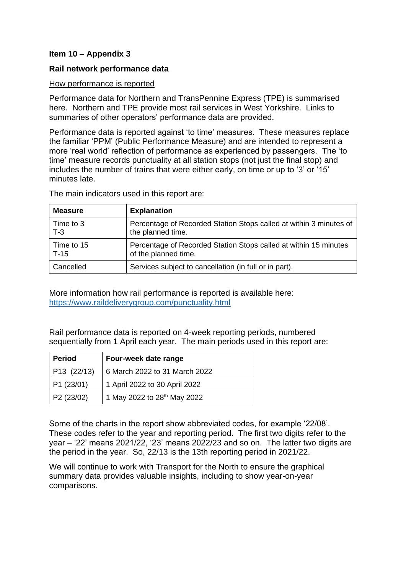## **Item 10 – Appendix 3**

### **Rail network performance data**

#### How performance is reported

Performance data for Northern and TransPennine Express (TPE) is summarised here. Northern and TPE provide most rail services in West Yorkshire. Links to summaries of other operators' performance data are provided.

Performance data is reported against 'to time' measures. These measures replace the familiar 'PPM' (Public Performance Measure) and are intended to represent a more 'real world' reflection of performance as experienced by passengers. The 'to time' measure records punctuality at all station stops (not just the final stop) and includes the number of trains that were either early, on time or up to '3' or '15' minutes late.

The main indicators used in this report are:

| <b>Measure</b> | <b>Explanation</b>                                                 |
|----------------|--------------------------------------------------------------------|
| Time to 3      | Percentage of Recorded Station Stops called at within 3 minutes of |
| $T-3$          | the planned time.                                                  |
| Time to 15     | Percentage of Recorded Station Stops called at within 15 minutes   |
| $T-15$         | of the planned time.                                               |
| Cancelled      | Services subject to cancellation (in full or in part).             |

More information how rail performance is reported is available here: <https://www.raildeliverygroup.com/punctuality.html>

Rail performance data is reported on 4-week reporting periods, numbered sequentially from 1 April each year. The main periods used in this report are:

| <b>Period</b> | Four-week date range                    |  |
|---------------|-----------------------------------------|--|
| P13(22/13)    | 6 March 2022 to 31 March 2022           |  |
| P1(23/01)     | 1 April 2022 to 30 April 2022           |  |
| P2(23/02)     | 1 May 2022 to 28 <sup>th</sup> May 2022 |  |

Some of the charts in the report show abbreviated codes, for example '22/08'. These codes refer to the year and reporting period. The first two digits refer to the year – '22' means 2021/22, '23' means 2022/23 and so on. The latter two digits are the period in the year. So, 22/13 is the 13th reporting period in 2021/22.

We will continue to work with Transport for the North to ensure the graphical summary data provides valuable insights, including to show year-on-year comparisons.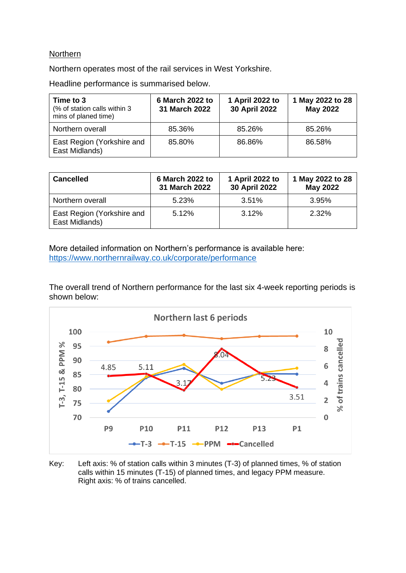### Northern

Northern operates most of the rail services in West Yorkshire.

Headline performance is summarised below.

| Time to 3<br>(% of station calls within 3)<br>mins of planed time) | 6 March 2022 to<br>31 March 2022 | 1 April 2022 to<br>30 April 2022 | 1 May 2022 to 28<br><b>May 2022</b> |
|--------------------------------------------------------------------|----------------------------------|----------------------------------|-------------------------------------|
| Northern overall                                                   | 85.36%                           | 85.26%                           | 85.26%                              |
| East Region (Yorkshire and<br>East Midlands)                       | 85.80%                           | 86.86%                           | 86.58%                              |

| <b>Cancelled</b>                             | 6 March 2022 to<br>31 March 2022 | 1 April 2022 to<br>30 April 2022 | 1 May 2022 to 28<br>May 2022 |
|----------------------------------------------|----------------------------------|----------------------------------|------------------------------|
| Northern overall                             | 5.23%                            | 3.51%                            | 3.95%                        |
| East Region (Yorkshire and<br>East Midlands) | 5.12%                            | 3.12%                            | 2.32%                        |

More detailed information on Northern's performance is available here: <https://www.northernrailway.co.uk/corporate/performance>

The overall trend of Northern performance for the last six 4-week reporting periods is shown below:



Key: Left axis: % of station calls within 3 minutes (T-3) of planned times, % of station calls within 15 minutes (T-15) of planned times, and legacy PPM measure. Right axis: % of trains cancelled.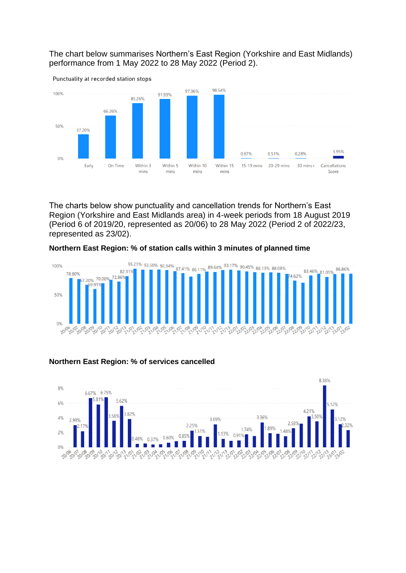The chart below summarises Northern's East Region (Yorkshire and East Midlands) performance from 1 May 2022 to 28 May 2022 (Period 2).



The charts below show punctuality and cancellation trends for Northern's East Region (Yorkshire and East Midlands area) in 4-week periods from 18 August 2019 (Period 6 of 2019/20, represented as 20/06) to 28 May 2022 (Period 2 of 2022/23, represented as 23/02).

#### **Northern East Region: % of station calls within 3 minutes of planned time**



### **Northern East Region: % of services cancelled**

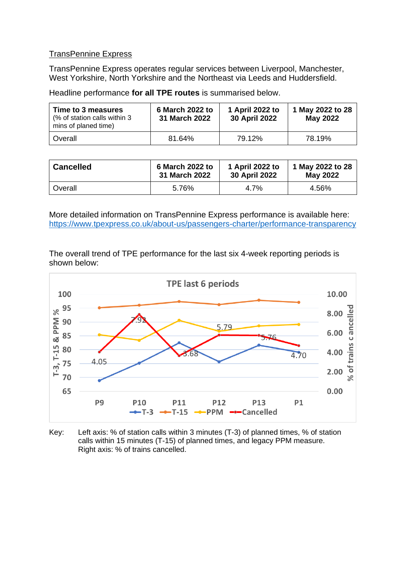### TransPennine Express

TransPennine Express operates regular services between Liverpool, Manchester, West Yorkshire, North Yorkshire and the Northeast via Leeds and Huddersfield.

Headline performance **for all TPE routes** is summarised below.

| Time to 3 measures<br>(% of station calls within 3)<br>mins of planed time) | 6 March 2022 to<br><b>31 March 2022</b> | 1 April 2022 to<br>30 April 2022 | 1 May 2022 to 28<br><b>May 2022</b> |
|-----------------------------------------------------------------------------|-----------------------------------------|----------------------------------|-------------------------------------|
| l Overall                                                                   | 81.64%                                  | 79.12%                           | 78.19%                              |

| <b>Cancelled</b> | 6 March 2022 to | 1 April 2022 to      | 1 May 2022 to 28 |
|------------------|-----------------|----------------------|------------------|
|                  | 31 March 2022   | <b>30 April 2022</b> | <b>May 2022</b>  |
| Overall          | 5.76%           | 4.7%                 | 4.56%            |

More detailed information on TransPennine Express performance is available here: <https://www.tpexpress.co.uk/about-us/passengers-charter/performance-transparency>

The overall trend of TPE performance for the last six 4-week reporting periods is shown below:



Key: Left axis: % of station calls within 3 minutes (T-3) of planned times, % of station calls within 15 minutes (T-15) of planned times, and legacy PPM measure. Right axis: % of trains cancelled.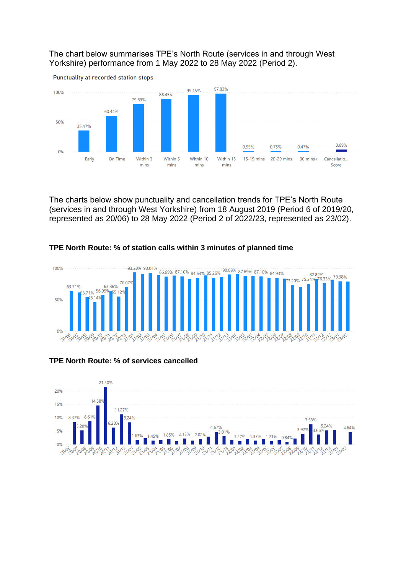The chart below summarises TPE's North Route (services in and through West Yorkshire) performance from 1 May 2022 to 28 May 2022 (Period 2).



The charts below show punctuality and cancellation trends for TPE's North Route (services in and through West Yorkshire) from 18 August 2019 (Period 6 of 2019/20, represented as 20/06) to 28 May 2022 (Period 2 of 2022/23, represented as 23/02).

### **TPE North Route: % of station calls within 3 minutes of planned time**



### **TPE North Route: % of services cancelled**